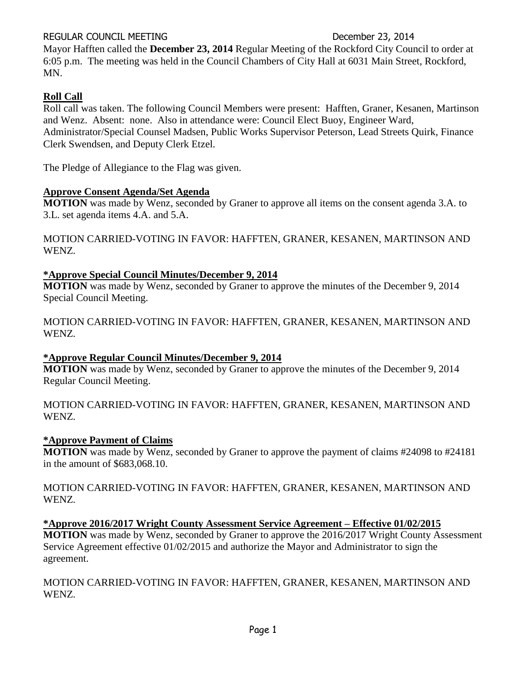# REGULAR COUNCIL MEETING DECEMBER 23, 2014

Mayor Hafften called the **December 23, 2014** Regular Meeting of the Rockford City Council to order at 6:05 p.m. The meeting was held in the Council Chambers of City Hall at 6031 Main Street, Rockford, MN.

# **Roll Call**

Roll call was taken. The following Council Members were present: Hafften, Graner, Kesanen, Martinson and Wenz. Absent: none. Also in attendance were: Council Elect Buoy, Engineer Ward, Administrator/Special Counsel Madsen, Public Works Supervisor Peterson, Lead Streets Quirk, Finance Clerk Swendsen, and Deputy Clerk Etzel.

The Pledge of Allegiance to the Flag was given.

# **Approve Consent Agenda/Set Agenda**

**MOTION** was made by Wenz, seconded by Graner to approve all items on the consent agenda 3.A. to 3.L. set agenda items 4.A. and 5.A.

MOTION CARRIED-VOTING IN FAVOR: HAFFTEN, GRANER, KESANEN, MARTINSON AND WENZ.

# **\*Approve Special Council Minutes/December 9, 2014**

**MOTION** was made by Wenz, seconded by Graner to approve the minutes of the December 9, 2014 Special Council Meeting.

MOTION CARRIED-VOTING IN FAVOR: HAFFTEN, GRANER, KESANEN, MARTINSON AND WENZ.

# **\*Approve Regular Council Minutes/December 9, 2014**

**MOTION** was made by Wenz, seconded by Graner to approve the minutes of the December 9, 2014 Regular Council Meeting.

MOTION CARRIED-VOTING IN FAVOR: HAFFTEN, GRANER, KESANEN, MARTINSON AND WENZ.

# **\*Approve Payment of Claims**

**MOTION** was made by Wenz, seconded by Graner to approve the payment of claims #24098 to #24181 in the amount of \$683,068.10.

MOTION CARRIED-VOTING IN FAVOR: HAFFTEN, GRANER, KESANEN, MARTINSON AND WENZ.

# **\*Approve 2016/2017 Wright County Assessment Service Agreement – Effective 01/02/2015**

**MOTION** was made by Wenz, seconded by Graner to approve the 2016/2017 Wright County Assessment Service Agreement effective 01/02/2015 and authorize the Mayor and Administrator to sign the agreement.

MOTION CARRIED-VOTING IN FAVOR: HAFFTEN, GRANER, KESANEN, MARTINSON AND WENZ.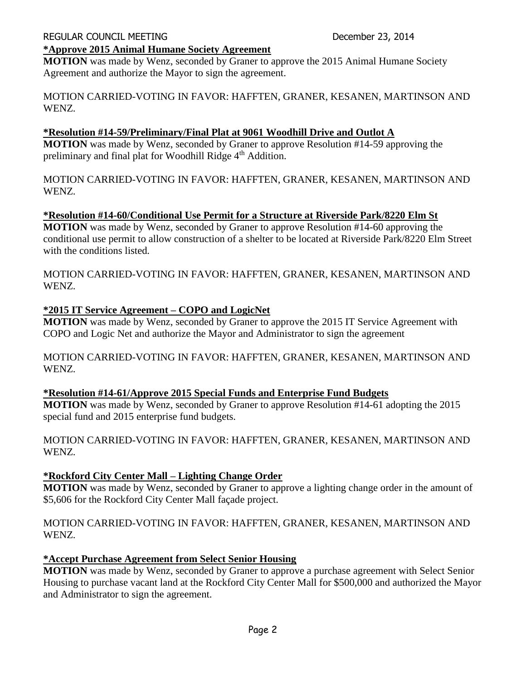### **\*Approve 2015 Animal Humane Society Agreement**

**MOTION** was made by Wenz, seconded by Graner to approve the 2015 Animal Humane Society Agreement and authorize the Mayor to sign the agreement.

MOTION CARRIED-VOTING IN FAVOR: HAFFTEN, GRANER, KESANEN, MARTINSON AND WENZ.

# **\*Resolution #14-59/Preliminary/Final Plat at 9061 Woodhill Drive and Outlot A**

**MOTION** was made by Wenz, seconded by Graner to approve Resolution #14-59 approving the preliminary and final plat for Woodhill Ridge 4<sup>th</sup> Addition.

MOTION CARRIED-VOTING IN FAVOR: HAFFTEN, GRANER, KESANEN, MARTINSON AND WENZ.

# **\*Resolution #14-60/Conditional Use Permit for a Structure at Riverside Park/8220 Elm St**

**MOTION** was made by Wenz, seconded by Graner to approve Resolution #14-60 approving the conditional use permit to allow construction of a shelter to be located at Riverside Park/8220 Elm Street with the conditions listed.

MOTION CARRIED-VOTING IN FAVOR: HAFFTEN, GRANER, KESANEN, MARTINSON AND WENZ.

# **\*2015 IT Service Agreement – COPO and LogicNet**

**MOTION** was made by Wenz, seconded by Graner to approve the 2015 IT Service Agreement with COPO and Logic Net and authorize the Mayor and Administrator to sign the agreement

MOTION CARRIED-VOTING IN FAVOR: HAFFTEN, GRANER, KESANEN, MARTINSON AND WENZ.

# **\*Resolution #14-61/Approve 2015 Special Funds and Enterprise Fund Budgets**

**MOTION** was made by Wenz, seconded by Graner to approve Resolution #14-61 adopting the 2015 special fund and 2015 enterprise fund budgets.

MOTION CARRIED-VOTING IN FAVOR: HAFFTEN, GRANER, KESANEN, MARTINSON AND WENZ.

### **\*Rockford City Center Mall – Lighting Change Order**

**MOTION** was made by Wenz, seconded by Graner to approve a lighting change order in the amount of \$5,606 for the Rockford City Center Mall façade project.

# MOTION CARRIED-VOTING IN FAVOR: HAFFTEN, GRANER, KESANEN, MARTINSON AND WENZ.

### **\*Accept Purchase Agreement from Select Senior Housing**

**MOTION** was made by Wenz, seconded by Graner to approve a purchase agreement with Select Senior Housing to purchase vacant land at the Rockford City Center Mall for \$500,000 and authorized the Mayor and Administrator to sign the agreement.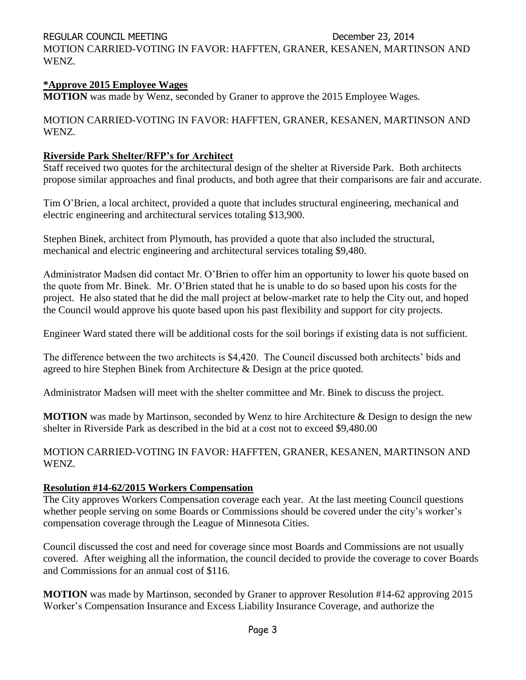REGULAR COUNCIL MEETING **December 23, 2014** 

MOTION CARRIED-VOTING IN FAVOR: HAFFTEN, GRANER, KESANEN, MARTINSON AND WENZ.

# **\*Approve 2015 Employee Wages**

**MOTION** was made by Wenz, seconded by Graner to approve the 2015 Employee Wages.

MOTION CARRIED-VOTING IN FAVOR: HAFFTEN, GRANER, KESANEN, MARTINSON AND WENZ.

# **Riverside Park Shelter/RFP's for Architect**

Staff received two quotes for the architectural design of the shelter at Riverside Park. Both architects propose similar approaches and final products, and both agree that their comparisons are fair and accurate.

Tim O'Brien, a local architect, provided a quote that includes structural engineering, mechanical and electric engineering and architectural services totaling \$13,900.

Stephen Binek, architect from Plymouth, has provided a quote that also included the structural, mechanical and electric engineering and architectural services totaling \$9,480.

Administrator Madsen did contact Mr. O'Brien to offer him an opportunity to lower his quote based on the quote from Mr. Binek. Mr. O'Brien stated that he is unable to do so based upon his costs for the project. He also stated that he did the mall project at below-market rate to help the City out, and hoped the Council would approve his quote based upon his past flexibility and support for city projects.

Engineer Ward stated there will be additional costs for the soil borings if existing data is not sufficient.

The difference between the two architects is \$4,420. The Council discussed both architects' bids and agreed to hire Stephen Binek from Architecture & Design at the price quoted.

Administrator Madsen will meet with the shelter committee and Mr. Binek to discuss the project.

**MOTION** was made by Martinson, seconded by Wenz to hire Architecture & Design to design the new shelter in Riverside Park as described in the bid at a cost not to exceed \$9,480.00

MOTION CARRIED-VOTING IN FAVOR: HAFFTEN, GRANER, KESANEN, MARTINSON AND WENZ.

# **Resolution #14-62/2015 Workers Compensation**

The City approves Workers Compensation coverage each year. At the last meeting Council questions whether people serving on some Boards or Commissions should be covered under the city's worker's compensation coverage through the League of Minnesota Cities.

Council discussed the cost and need for coverage since most Boards and Commissions are not usually covered. After weighing all the information, the council decided to provide the coverage to cover Boards and Commissions for an annual cost of \$116.

**MOTION** was made by Martinson, seconded by Graner to approver Resolution #14-62 approving 2015 Worker's Compensation Insurance and Excess Liability Insurance Coverage, and authorize the